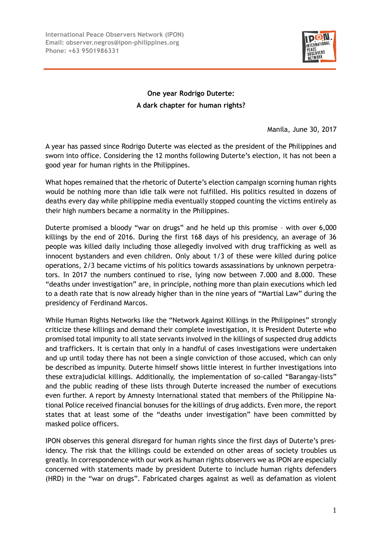

## **One year Rodrigo Duterte: A dark chapter for human rights?**

Manila, June 30, 2017

A year has passed since Rodrigo Duterte was elected as the president of the Philippines and sworn into office. Considering the 12 months following Duterte's election, it has not been a good year for human rights in the Philippines.

What hopes remained that the rhetoric of Duterte's election campaign scorning human rights would be nothing more than idle talk were not fulfilled. His politics resulted in dozens of deaths every day while philippine media eventually stopped counting the victims entirely as their high numbers became a normality in the Philippines.

Duterte promised a bloody "war on drugs" and he held up this promise – with over 6,000 killings by the end of 2016. During the first 168 days of his presidency, an average of 36 people was killed daily including those allegedly involved with drug trafficking as well as innocent bystanders and even children. Only about 1/3 of these were killed during police operations, 2/3 became victims of his politics towards assassinations by unknown perpetrators. In 2017 the numbers continued to rise, lying now between 7.000 and 8.000. These "deaths under investigation" are, in principle, nothing more than plain executions which led to a death rate that is now already higher than in the nine years of "Martial Law" during the presidency of Ferdinand Marcos.

While Human Rights Networks like the "Network Against Killings in the Philippines" strongly criticize these killings and demand their complete investigation, it is President Duterte who promised total impunity to all state servants involved in the killings of suspected drug addicts and traffickers. It is certain that only in a handful of cases investigations were undertaken and up until today there has not been a single conviction of those accused, which can only be described as impunity. Duterte himself shows little interest in further investigations into these extrajudicial killings. Additionally, the implementation of so-called "Barangay-lists" and the public reading of these lists through Duterte increased the number of executions even further. A report by Amnesty International stated that members of the Philippine National Police received financial bonuses for the killings of drug addicts. Even more, the report states that at least some of the "deaths under investigation" have been committed by masked police officers.

IPON observes this general disregard for human rights since the first days of Duterte's presidency. The risk that the killings could be extended on other areas of society troubles us greatly. In correspondence with our work as human rights observers we as IPON are especially concerned with statements made by president Duterte to include human rights defenders (HRD) in the "war on drugs". Fabricated charges against as well as defamation as violent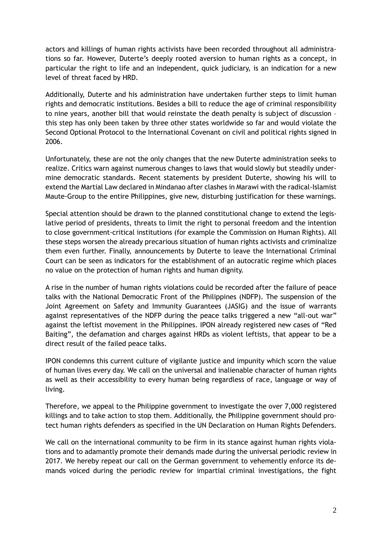actors and killings of human rights activists have been recorded throughout all administrations so far. However, Duterte's deeply rooted aversion to human rights as a concept, in particular the right to life and an independent, quick judiciary, is an indication for a new level of threat faced by HRD.

Additionally, Duterte and his administration have undertaken further steps to limit human rights and democratic institutions. Besides a bill to reduce the age of criminal responsibility to nine years, another bill that would reinstate the death penalty is subject of discussion – this step has only been taken by three other states worldwide so far and would violate the Second Optional Protocol to the International Covenant on civil and political rights signed in 2006.

Unfortunately, these are not the only changes that the new Duterte administration seeks to realize. Critics warn against numerous changes to laws that would slowly but steadily undermine democratic standards. Recent statements by president Duterte, showing his will to extend the Martial Law declared in Mindanao after clashes in Marawi with the radical-Islamist Maute-Group to the entire Philippines, give new, disturbing justification for these warnings.

Special attention should be drawn to the planned constitutional change to extend the legislative period of presidents, threats to limit the right to personal freedom and the intention to close government-critical institutions (for example the Commission on Human Rights). All these steps worsen the already precarious situation of human rights activists and criminalize them even further. Finally, announcements by Duterte to leave the International Criminal Court can be seen as indicators for the establishment of an autocratic regime which places no value on the protection of human rights and human dignity.

A rise in the number of human rights violations could be recorded after the failure of peace talks with the National Democratic Front of the Philippines (NDFP). The suspension of the Joint Agreement on Safety and Immunity Guarantees (JASIG) and the issue of warrants against representatives of the NDFP during the peace talks triggered a new "all-out war" against the leftist movement in the Philippines. IPON already registered new cases of "Red Baiting", the defamation and charges against HRDs as violent leftists, that appear to be a direct result of the failed peace talks.

IPON condemns this current culture of vigilante justice and impunity which scorn the value of human lives every day. We call on the universal and inalienable character of human rights as well as their accessibility to every human being regardless of race, language or way of living.

Therefore, we appeal to the Philippine government to investigate the over 7,000 registered killings and to take action to stop them. Additionally, the Philippine government should protect human rights defenders as specified in the UN Declaration on Human Rights Defenders.

We call on the international community to be firm in its stance against human rights violations and to adamantly promote their demands made during the universal periodic review in 2017. We hereby repeat our call on the German government to vehemently enforce its demands voiced during the periodic review for impartial criminal investigations, the fight